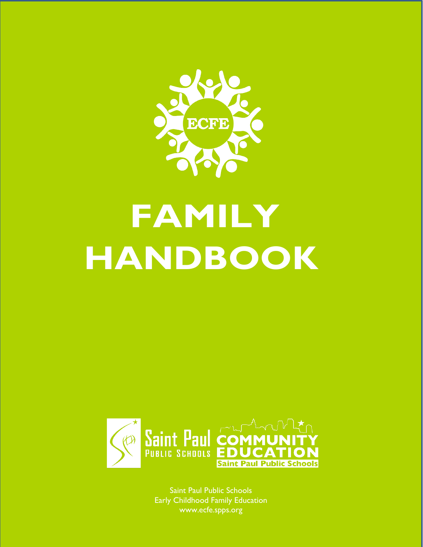

# **FAMILY HANDBOOK**



Saint Paul Public Schools Early Childhood Family Education www.ecfe.spps.org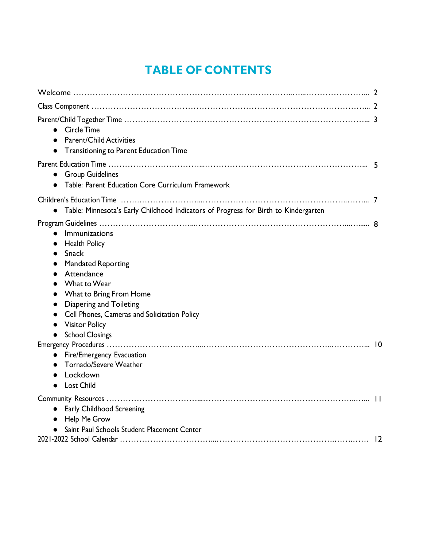## **TABLE OF CONTENTS**

| <b>Circle Time</b><br>$\bullet$<br>Parent/Child Activities<br>Transitioning to Parent Education Time                                                                                                                                                                                                                                                                 |  |
|----------------------------------------------------------------------------------------------------------------------------------------------------------------------------------------------------------------------------------------------------------------------------------------------------------------------------------------------------------------------|--|
| <b>Group Guidelines</b><br>Table: Parent Education Core Curriculum Framework                                                                                                                                                                                                                                                                                         |  |
| Table: Minnesota's Early Childhood Indicators of Progress for Birth to Kindergarten<br>$\bullet$                                                                                                                                                                                                                                                                     |  |
| Immunizations<br>$\bullet$<br><b>Health Policy</b><br><b>Snack</b><br>$\bullet$<br><b>Mandated Reporting</b><br>$\bullet$<br>Attendance<br>What to Wear<br>What to Bring From Home<br>Diapering and Toileting<br>$\bullet$<br>Cell Phones, Cameras and Solicitation Policy<br>$\bullet$<br><b>Visitor Policy</b><br>$\bullet$<br><b>School Closings</b><br>$\bullet$ |  |
| Fire/Emergency Evacuation<br>Tornado/Severe Weather<br>Lockdown<br><b>Lost Child</b>                                                                                                                                                                                                                                                                                 |  |
| Early Childhood Screening<br>$\bullet$<br>• Help Me Grow<br>• Saint Paul Schools Student Placement Center                                                                                                                                                                                                                                                            |  |
|                                                                                                                                                                                                                                                                                                                                                                      |  |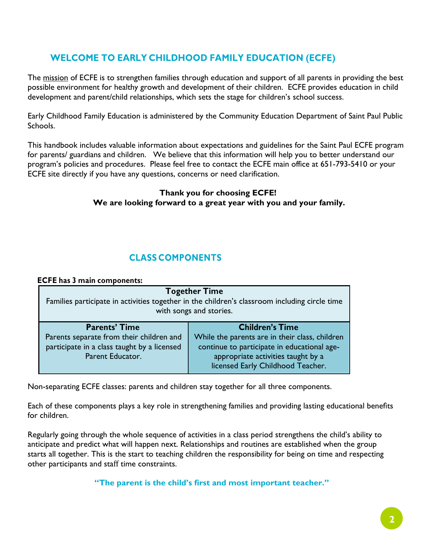## **WELCOME TO EARLY CHILDHOOD FAMILY EDUCATION (ECFE)**

The mission of ECFE is to strengthen families through education and support of all parents in providing the best possible environment for healthy growth and development of their children. ECFE provides education in child development and parent/child relationships, which sets the stage for children's school success.

Early Childhood Family Education is administered by the Community Education Department of Saint Paul Public Schools.

This handbook includes valuable information about expectations and guidelines for the Saint Paul ECFE program for parents/ guardians and children. We believe that this information will help you to better understand our program's policies and procedures. Please feel free to contact the ECFE main office at 651-793-5410 or your ECFE site directly if you have any questions, concerns or need clarification.

#### **Thank you for choosing ECFE! We are looking forward to a great year with you and your family.**

## **CLASS COMPONENTS**

#### **ECFE has 3 main components:**

| <b>Together Time</b><br>Families participate in activities together in the children's classroom including circle time<br>with songs and stories. |                                                                                                                                                                                                    |  |  |
|--------------------------------------------------------------------------------------------------------------------------------------------------|----------------------------------------------------------------------------------------------------------------------------------------------------------------------------------------------------|--|--|
| <b>Parents' Time</b><br>Parents separate from their children and<br>participate in a class taught by a licensed<br>Parent Educator.              | <b>Children's Time</b><br>While the parents are in their class, children<br>continue to participate in educational age-<br>appropriate activities taught by a<br>licensed Early Childhood Teacher. |  |  |

Non-separating ECFE classes: parents and children stay together for all three components.

Each of these components plays a key role in strengthening families and providing lasting educational benefits for children.

Regularly going through the whole sequence of activities in a class period strengthens the child's ability to anticipate and predict what will happen next. Relationships and routines are established when the group starts all together. This is the start to teaching children the responsibility for being on time and respecting other participants and staff time constraints.

**"The parent is the child's first and most important teacher."**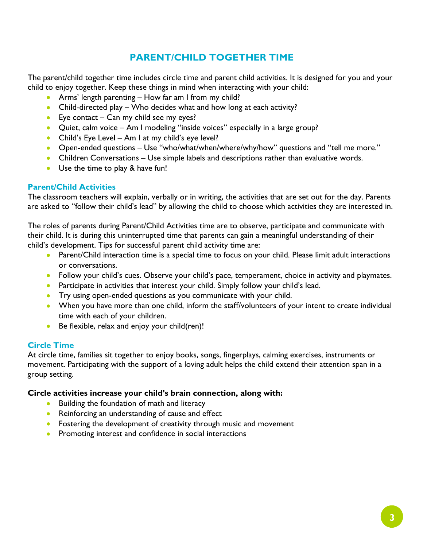## **PARENT/CHILD TOGETHER TIME**

The parent/child together time includes circle time and parent child activities. It is designed for you and your child to enjoy together. Keep these things in mind when interacting with your child:

- Arms' length parenting How far am I from my child?
- Child-directed play Who decides what and how long at each activity?
- Eye contact Can my child see my eyes?
- Quiet, calm voice Am I modeling "inside voices" especially in a large group?
- Child's Eye Level Am I at my child's eye level?
- Open-ended questions Use "who/what/when/where/why/how" questions and "tell me more."
- Children Conversations Use simple labels and descriptions rather than evaluative words.
- Use the time to play & have fun!

#### **Parent/Child Activities**

The classroom teachers will explain, verbally or in writing, the activities that are set out for the day. Parents are asked to "follow their child's lead" by allowing the child to choose which activities they are interested in.

The roles of parents during Parent/Child Activities time are to observe, participate and communicate with their child. It is during this uninterrupted time that parents can gain a meaningful understanding of their child's development. Tips for successful parent child activity time are:

- Parent/Child interaction time is a special time to focus on your child. Please limit adult interactions or conversations.
- Follow your child's cues. Observe your child's pace, temperament, choice in activity and playmates.
- Participate in activities that interest your child. Simply follow your child's lead.
- Try using open-ended questions as you communicate with your child.
- When you have more than one child, inform the staff/volunteers of your intent to create individual time with each of your children.
- Be flexible, relax and enjoy your child(ren)!

#### **Circle Time**

At circle time, families sit together to enjoy books, songs, fingerplays, calming exercises, instruments or movement. Participating with the support of a loving adult helps the child extend their attention span in a group setting.

#### **Circle activities increase your child's brain connection, along with:**

- Building the foundation of math and literacy
- Reinforcing an understanding of cause and effect
- Fostering the development of creativity through music and movement
- Promoting interest and confidence in social interactions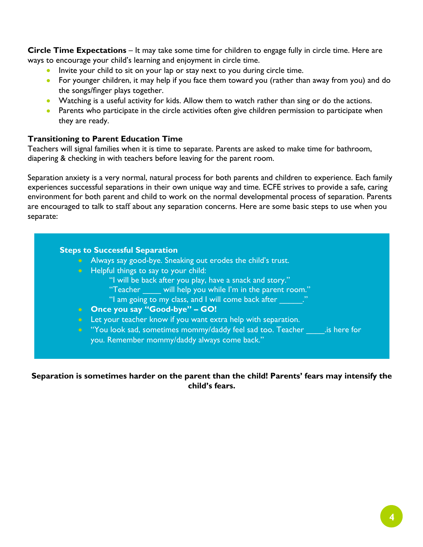**Circle Time Expectations** – It may take some time for children to engage fully in circle time. Here are ways to encourage your child's learning and enjoyment in circle time.

- Invite your child to sit on your lap or stay next to you during circle time.
- For younger children, it may help if you face them toward you (rather than away from you) and do the songs/finger plays together.
- Watching is a useful activity for kids. Allow them to watch rather than sing or do the actions.
- Parents who participate in the circle activities often give children permission to participate when they are ready.

#### **Transitioning to Parent Education Time**

Teachers will signal families when it is time to separate. Parents are asked to make time for bathroom, diapering & checking in with teachers before leaving for the parent room.

Separation anxiety is a very normal, natural process for both parents and children to experience. Each family experiences successful separations in their own unique way and time. ECFE strives to provide a safe, caring environment for both parent and child to work on the normal developmental process of separation. Parents are encouraged to talk to staff about any separation concerns. Here are some basic steps to use when you separate:

## **Steps to Successful Separation** • Always say good-bye. Sneaking out erodes the child's trust. • Helpful things to say to your child: "I will be back after you play, have a snack and story." "Teacher \_\_\_\_ will help you while I'm in the parent room." "I am going to my class, and I will come back after  $\qquad$  ." • **Once you say "Good-bye" – GO!** • Let your teacher know if you want extra help with separation. • "You look sad, sometimes mommy/daddy feel sad too. Teacher \_\_\_\_\_.is here for you. Remember mommy/daddy always come back."

**Separation is sometimes harder on the parent than the child! Parents' fears may intensify the child's fears.**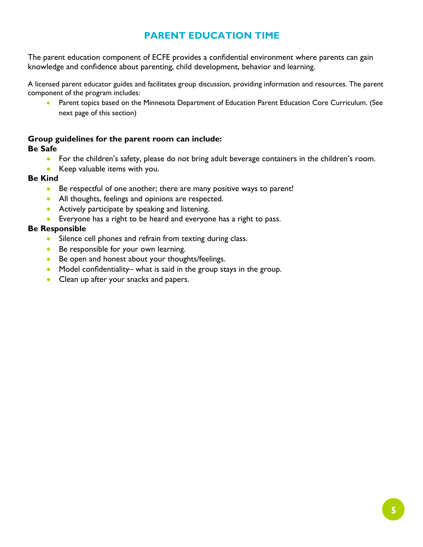## **PARENT EDUCATION TIME**

The parent education component of ECFE provides a confidential environment where parents can gain knowledge and confidence about parenting, child development, behavior and learning.

A licensed parent educator guides and facilitates group discussion, providing information and resources. The parent component of the program includes:

• Parent topics based on the Minnesota Department of Education Parent Education Core Curriculum. (See next page of this section)

## **Group guidelines for the parent room can include:**

#### **Be Safe**

- For the children's safety, please do not bring adult beverage containers in the children's room.
- Keep valuable items with you.

### **Be Kind**

- Be respectful of one another; there are many positive ways to parent!
- All thoughts, feelings and opinions are respected.
- Actively participate by speaking and listening.
- Everyone has a right to be heard and everyone has a right to pass.

### **Be Responsible**

- Silence cell phones and refrain from texting during class.
- Be responsible for your own learning.
- Be open and honest about your thoughts/feelings.
- Model confidentiality– what is said in the group stays in the group.
- Clean up after your snacks and papers.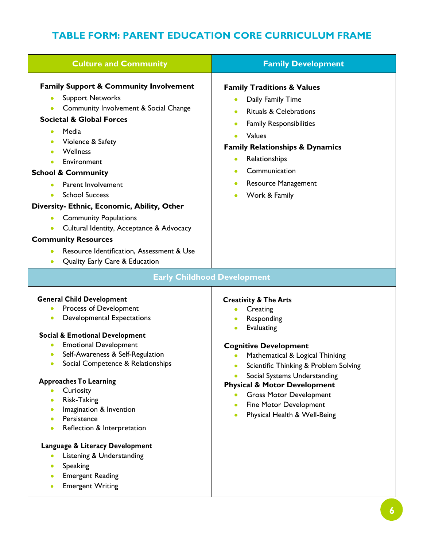## **TABLE FORM: PARENT EDUCATION CORE CURRICULUM FRAME**

| <b>Culture and Community</b>                                                                                                                                                                                                                                                                                                                                                                                                                                                                                                                                                                                             | <b>Family Development</b>                                                                                                                                                                                                                                                                                                                                                                    |
|--------------------------------------------------------------------------------------------------------------------------------------------------------------------------------------------------------------------------------------------------------------------------------------------------------------------------------------------------------------------------------------------------------------------------------------------------------------------------------------------------------------------------------------------------------------------------------------------------------------------------|----------------------------------------------------------------------------------------------------------------------------------------------------------------------------------------------------------------------------------------------------------------------------------------------------------------------------------------------------------------------------------------------|
| <b>Family Support &amp; Community Involvement</b><br><b>Support Networks</b><br>Community Involvement & Social Change<br><b>Societal &amp; Global Forces</b><br>Media<br>Violence & Safety<br>Wellness<br>Environment<br><b>School &amp; Community</b><br>Parent Involvement<br><b>School Success</b><br>Diversity- Ethnic, Economic, Ability, Other<br><b>Community Populations</b><br>Cultural Identity, Acceptance & Advocacy<br><b>Community Resources</b><br>Resource Identification, Assessment & Use                                                                                                              | <b>Family Traditions &amp; Values</b><br>Daily Family Time<br><b>Rituals &amp; Celebrations</b><br><b>Family Responsibilities</b><br>$\bullet$<br>Values<br><b>Family Relationships &amp; Dynamics</b><br>Relationships<br>$\bullet$<br>Communication<br>$\bullet$<br><b>Resource Management</b><br>$\bullet$<br>Work & Family                                                               |
| Quality Early Care & Education                                                                                                                                                                                                                                                                                                                                                                                                                                                                                                                                                                                           |                                                                                                                                                                                                                                                                                                                                                                                              |
| <b>Early Childhood Development</b>                                                                                                                                                                                                                                                                                                                                                                                                                                                                                                                                                                                       |                                                                                                                                                                                                                                                                                                                                                                                              |
| <b>General Child Development</b><br>Process of Development<br><b>Developmental Expectations</b><br><b>Social &amp; Emotional Development</b><br><b>Emotional Development</b><br>Self-Awareness & Self-Regulation<br>Social Competence & Relationships<br><b>Approaches To Learning</b><br>Curiosity<br>Risk-Taking<br>$\bullet$<br>Imagination & Invention<br>$\bullet$<br>Persistence<br>$\bullet$<br>Reflection & Interpretation<br>$\bullet$<br>Language & Literacy Development<br>Listening & Understanding<br>Speaking<br>$\bullet$<br><b>Emergent Reading</b><br>$\bullet$<br><b>Emergent Writing</b><br>$\bullet$ | <b>Creativity &amp; The Arts</b><br>Creating<br>Responding<br><b>Evaluating</b><br>$\bullet$<br><b>Cognitive Development</b><br>Mathematical & Logical Thinking<br>Scientific Thinking & Problem Solving<br>Social Systems Understanding<br><b>Physical &amp; Motor Development</b><br><b>Gross Motor Development</b><br>Fine Motor Development<br>Physical Health & Well-Being<br>$\bullet$ |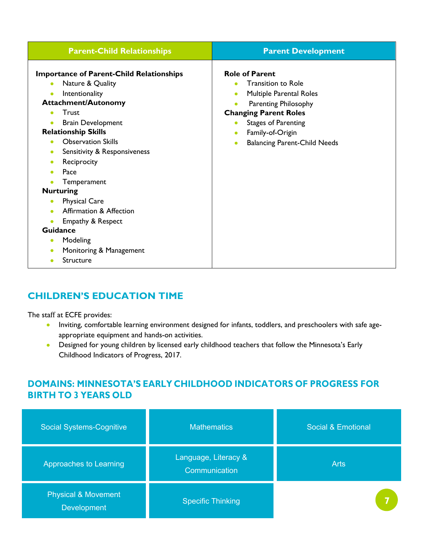| <b>Parent-Child Relationships</b>                                                                                                                                                                                                                                                                                                                                                                                                                                                      | <b>Parent Development</b>                                                                                                                                                                                                                                                                                           |  |  |  |
|----------------------------------------------------------------------------------------------------------------------------------------------------------------------------------------------------------------------------------------------------------------------------------------------------------------------------------------------------------------------------------------------------------------------------------------------------------------------------------------|---------------------------------------------------------------------------------------------------------------------------------------------------------------------------------------------------------------------------------------------------------------------------------------------------------------------|--|--|--|
| <b>Importance of Parent-Child Relationships</b><br>Nature & Quality<br>Intentionality<br><b>Attachment/Autonomy</b><br>Trust<br><b>Brain Development</b><br><b>Relationship Skills</b><br><b>Observation Skills</b><br>Sensitivity & Responsiveness<br>$\bullet$<br>Reciprocity<br>Pace<br>Temperament<br><b>Nurturing</b><br><b>Physical Care</b><br>Affirmation & Affection<br>Empathy & Respect<br><b>Guidance</b><br>Modeling<br>Monitoring & Management<br>Structure<br>$\bullet$ | <b>Role of Parent</b><br><b>Transition to Role</b><br>$\bullet$<br>Multiple Parental Roles<br>$\bullet$<br><b>Parenting Philosophy</b><br>$\bullet$<br><b>Changing Parent Roles</b><br><b>Stages of Parenting</b><br>$\bullet$<br>Family-of-Origin<br>$\bullet$<br><b>Balancing Parent-Child Needs</b><br>$\bullet$ |  |  |  |

## **CHILDREN'S EDUCATION TIME**

The staff at ECFE provides:

- Inviting, comfortable learning environment designed for infants, toddlers, and preschoolers with safe ageappropriate equipment and hands-on activities.
- Designed for young children by licensed early childhood teachers that follow the Minnesota's Early Childhood Indicators of Progress, 2017.

## **DOMAINS: MINNESOTA'S EARLY CHILDHOOD INDICATORS OF PROGRESS FOR BIRTH TO 3 YEARS OLD**

| <b>Social Systems-Cognitive</b>               | <b>Mathematics</b>                    | Social & Emotional |
|-----------------------------------------------|---------------------------------------|--------------------|
| Approaches to Learning                        | Language, Literacy &<br>Communication | <b>Arts</b>        |
| <b>Physical &amp; Movement</b><br>Development | <b>Specific Thinking</b>              |                    |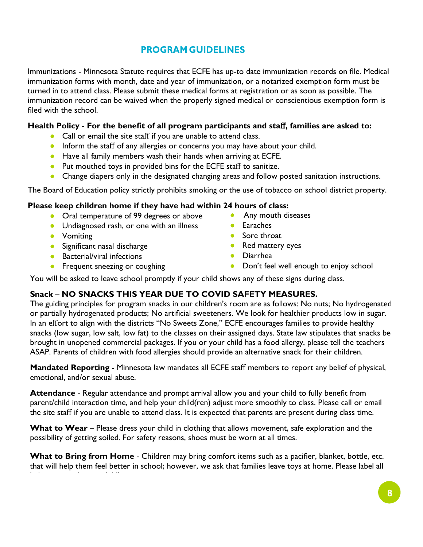## **PROGRAM GUIDELINES**

Immunizations - Minnesota Statute requires that ECFE has up-to date immunization records on file. Medical immunization forms with month, date and year of immunization, or a notarized exemption form must be turned in to attend class. Please submit these medical forms at registration or as soon as possible. The immunization record can be waived when the properly signed medical or conscientious exemption form is filed with the school.

## **Health Policy - For the benefit of all program participants and sta**ff**, families are asked to:**

- Call or email the site staff if you are unable to attend class.
- Inform the staff of any allergies or concerns you may have about your child.
- Have all family members wash their hands when arriving at ECFE.
- Put mouthed toys in provided bins for the ECFE staff to sanitize.
- Change diapers only in the designated changing areas and follow posted sanitation instructions.

The Board of Education policy strictly prohibits smoking or the use of tobacco on school district property.

## **Please keep children home if they have had within 24 hours of class:**

- Oral temperature of 99 degrees or above
- Undiagnosed rash, or one with an illness
- Vomiting
- Significant nasal discharge
- Bacterial/viral infections
- **•** Frequent sneezing or coughing
- Any mouth diseases
- Earaches
- Sore throat
- Red mattery eyes
- Diarrhea
- Don't feel well enough to enjoy school

You will be asked to leave school promptly if your child shows any of these signs during class.

## **Snack** – **NO SNACKS THIS YEAR DUE TO COVID SAFETY MEASURES.**

The guiding principles for program snacks in our children's room are as follows: No nuts; No hydrogenated or partially hydrogenated products; No artificial sweeteners. We look for healthier products low in sugar. In an effort to align with the districts "No Sweets Zone," ECFE encourages families to provide healthy snacks (low sugar, low salt, low fat) to the classes on their assigned days. State law stipulates that snacks be brought in unopened commercial packages. If you or your child has a food allergy, please tell the teachers ASAP. Parents of children with food allergies should provide an alternative snack for their children.

**Mandated Reporting** - Minnesota law mandates all ECFE staff members to report any belief of physical, emotional, and/or sexual abuse.

**Attendance** - Regular attendance and prompt arrival allow you and your child to fully benefit from parent/child interaction time, and help your child(ren) adjust more smoothly to class. Please call or email the site staff if you are unable to attend class. It is expected that parents are present during class time.

**What to Wear** – Please dress your child in clothing that allows movement, safe exploration and the possibility of getting soiled. For safety reasons, shoes must be worn at all times.

**What to Bring from Home** - Children may bring comfort items such as a pacifier, blanket, bottle, etc. that will help them feel better in school; however, we ask that families leave toys at home. Please label all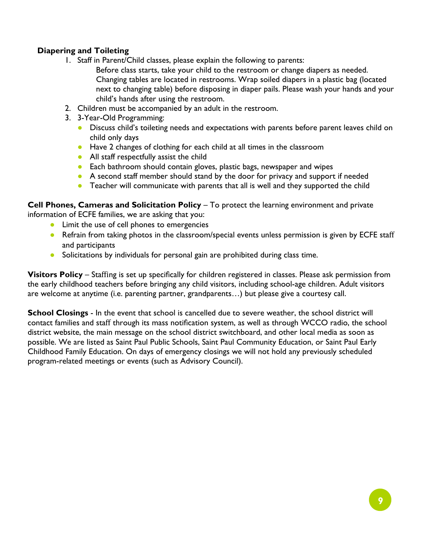## **Diapering and Toileting**

- 1. Staff in Parent/Child classes, please explain the following to parents:
	- Before class starts, take your child to the restroom or change diapers as needed. Changing tables are located in restrooms. Wrap soiled diapers in a plastic bag (located next to changing table) before disposing in diaper pails. Please wash your hands and your child's hands after using the restroom.
- 2. Children must be accompanied by an adult in the restroom.
- 3. 3-Year-Old Programming:
	- **●** Discuss child's toileting needs and expectations with parents before parent leaves child on child only days
	- **●** Have 2 changes of clothing for each child at all times in the classroom
	- **●** All staff respectfully assist the child
	- **●** Each bathroom should contain gloves, plastic bags, newspaper and wipes
	- **●** A second staff member should stand by the door for privacy and support if needed
	- **•** Teacher will communicate with parents that all is well and they supported the child

**Cell Phones, Cameras and Solicitation Policy** – To protect the learning environment and private information of ECFE families, we are asking that you:

- Limit the use of cell phones to emergencies
- Refrain from taking photos in the classroom/special events unless permission is given by ECFE staff and participants
- Solicitations by individuals for personal gain are prohibited during class time.

**Visitors Policy** – Staffing is set up specifically for children registered in classes. Please ask permission from the early childhood teachers before bringing any child visitors, including school-age children. Adult visitors are welcome at anytime (i.e. parenting partner, grandparents…) but please give a courtesy call.

**School Closings** - In the event that school is cancelled due to severe weather, the school district will contact families and staff through its mass notification system, as well as through WCCO radio, the school district website, the main message on the school district switchboard, and other local media as soon as possible. We are listed as Saint Paul Public Schools, Saint Paul Community Education, or Saint Paul Early Childhood Family Education. On days of emergency closings we will not hold any previously scheduled program-related meetings or events (such as Advisory Council).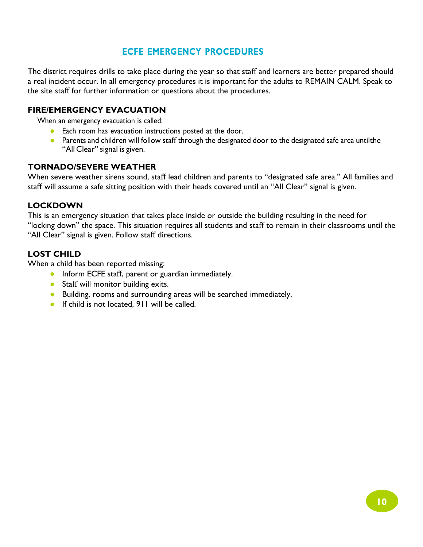## **ECFE EMERGENCY PROCEDURES**

The district requires drills to take place during the year so that staff and learners are better prepared should a real incident occur. In all emergency procedures it is important for the adults to REMAIN CALM. Speak to the site staff for further information or questions about the procedures.

## **FIRE/EMERGENCY EVACUATION**

When an emergency evacuation is called:

- Each room has evacuation instructions posted at the door.
- Parents and children will follow staff through the designated door to the designated safe area untilthe "All Clear" signal is given.

## **TORNADO/SEVERE WEATHER**

When severe weather sirens sound, staff lead children and parents to "designated safe area." All families and staff will assume a safe sitting position with their heads covered until an "All Clear" signal is given.

### **LOCKDOWN**

This is an emergency situation that takes place inside or outside the building resulting in the need for "locking down" the space. This situation requires all students and staff to remain in their classrooms until the "All Clear" signal is given. Follow staff directions.

## **LOST CHILD**

When a child has been reported missing:

- Inform ECFE staff, parent or guardian immediately.
- Staff will monitor building exits.
- Building, rooms and surrounding areas will be searched immediately.
- If child is not located, 911 will be called.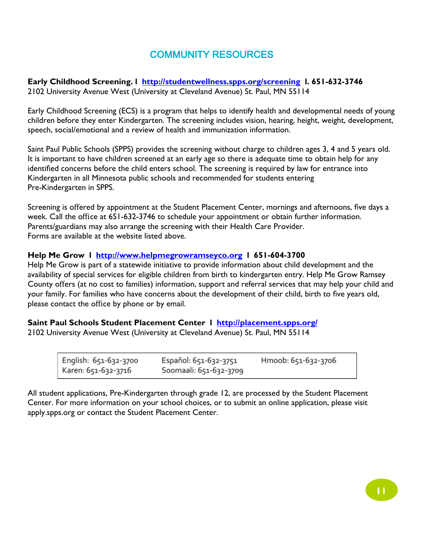## COMMUNITY RESOURCES

**Early Childhood Screening. l http://studentwellness.spps.org/screening l. 651-632-3746** 2102 University Avenue West (University at Cleveland Avenue) St. Paul, MN 55114

Early Childhood Screening (ECS) is a program that helps to identify health and developmental needs of young children before they enter Kindergarten. The screening includes vision, hearing, height, weight, development, speech, social/emotional and a review of health and immunization information.

Saint Paul Public Schools (SPPS) provides the screening without charge to children ages 3, 4 and 5 years old. It is important to have children screened at an early age so there is adequate time to obtain help for any identified concerns before the child enters school. The screening is required by law for entrance into Kindergarten in all Minnesota public schools and recommended for students entering Pre-Kindergarten in SPPS.

Screening is offered by appointment at the Student Placement Center, mornings and afternoons, five days a week. Call the office at 651-632-3746 to schedule your appointment or obtain further information. Parents/guardians may also arrange the screening with their Health Care Provider. Forms are available at the website listed above.

### **Help Me Grow l http://www.helpmegrowramseyco.org l 651-604-3700**

Help Me Grow is part of a statewide initiative to provide information about child development and the availability of special services for eligible children from birth to kindergarten entry. Help Me Grow Ramsey County offers (at no cost to families) information, support and referral services that may help your child and your family. For families who have concerns about the development of their child, birth to five years old, please contact the office by phone or by email.

### **Saint Paul Schools Student Placement Center l http://placement.spps.org/**

2102 University Avenue West (University at Cleveland Avenue) St. Paul, MN 55114

| English: 651-632-3700 | Español: 651-632-3751  | Hmoob: 651-632-3706 |
|-----------------------|------------------------|---------------------|
| Karen: 651-632-3716   | Soomaali: 651-632-3709 |                     |

All student applications, Pre-Kindergarten through grade 12, are processed by the Student Placement Center. For more information on your school choices, or to submit an online application, please visit apply.spps.org or contact the Student Placement Center.